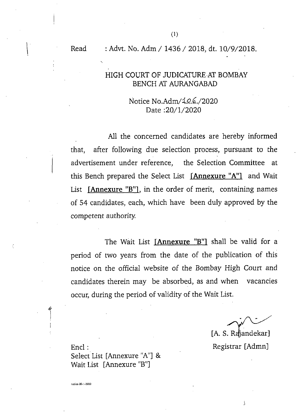Read : Advt. No. Adm / 1436 / 2018, dt. 10/9/2018.

**(1)**

#### HIGH COURT OF JUDICATURE AT BOMBAY BENCH AT AURANGABAD

### Notice No.Adm/19.6./2020 Date :20/l/2020

All the concerned candidates are hereby informed that, after following due selection process, pursuant to the advertisement under reference, the Selection Committee at this Bench prepared the Select List  $[Annexure "A"]$  and Wait List  $[Annexure "B"]$ , in the order of merit, containing names of 54 candidates, each, which have been duly approved by the competent authority.

The Wait List  $[Annexure "B"]$  shall be valid for a period of two years from the date of the publication of this notice on the official website of the Bombay High Court and candidates therein may be absorbed, as and when vacancies occur, during the period of validity of the Wait List.

[A. S. Rajandekar] Encl : Registrar [Admn]

**i**

Select List [Annexure "A"] & Wait List [Annexure "B"]

notice-20-l-2020

 $\frac{1}{4}$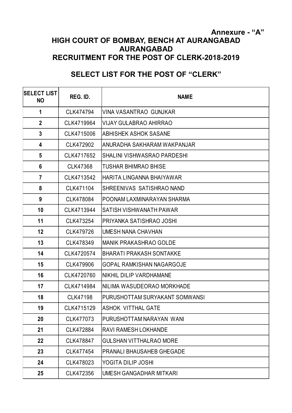## **Annexure - "A" HIGH COURT OF BOMBAY, BENCH AT AURANGABAD AURANGABAD RECRUITMENT FOR THE POST OF CLERK-2018-2019**

# **SELECT LIST FOR THE POST OF "CLERK"**

| <b>SELECT LIST</b><br><b>NO</b> | REG. ID.   | <b>NAME</b>                      |
|---------------------------------|------------|----------------------------------|
| 1                               | CLK474794  | IVINA VASANTRAO GUNJKAR          |
| $\overline{\mathbf{2}}$         | CLK4719964 | VIJAY GULABRAO AHIRRAO           |
| $\overline{3}$                  | CLK4715006 | IABHISHEK ASHOK SASANE           |
| 4                               | CLK472902  | ANURADHA SAKHARAM WAKPANJAR      |
| 5                               | CLK4717652 | ISHALINI VISHWASRAO PARDESHI     |
| 6                               | CLK47368   | <b>TUSHAR BHIMRAO BHISE</b>      |
| $\overline{7}$                  | CLK4713542 | IHARITA LINGANNA BHAIYAWAR       |
| 8                               | CLK471104  | ISHREENIVAS SATISHRAO NAND       |
| 9                               | CLK478084  | IPOONAM LAXMINARAYAN SHARMA      |
| 10                              | CLK4713944 | ISATISH VISHWANATH PAWAR         |
| 11                              | CLK473254  | IPRIYANKA SATISHRAO JOSHI        |
| 12                              | CLK479726  | IUMESH NANA CHAVHAN              |
| 13                              | CLK478349  | IMANIK PRAKASHRAO GOLDE          |
| 14                              | CLK4720574 | IBHARATI PRAKASH SONTAKKE        |
| 15                              | CLK479906  | IGOPAL RAMKISHAN NAGARGOJE       |
| 16                              | CLK4720760 | INIKHIL DILIP VARDHAMANE         |
| 17                              | CLK4714984 | INILIMA WASUDEORAO MORKHADE      |
| 18                              | CLK47198   | PURUSHOTTAM SURYAKANT SOMWANSI   |
| 19                              | CLK4715129 | IASHOK VITTHAL GATE              |
| 20                              | CLK477073  | PURUSHOTTAM NARAYAN WANI         |
| 21                              | CLK472884  | RAVI RAMESH LOKHANDE             |
| 22                              | CLK478847  | <b>GULSHAN VITTHALRAO MORE</b>   |
| 23                              | CLK477454  | <b>PRANALI BHAUSAHEB GHEGADE</b> |
| 24                              | CLK478023  | YOGITA DILIP JOSHI               |
| 25                              | CLK472356  | UMESH GANGADHAR MITKARI          |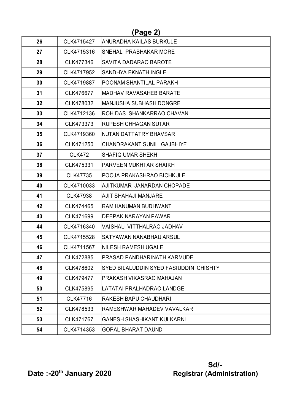# **(Page 2)**

| 26 | CLK4715427      | IANURADHA KAILAS BURKULE                      |
|----|-----------------|-----------------------------------------------|
| 27 | CLK4715316      | SNEHAL PRABHAKAR MORE                         |
| 28 | CLK477346       | SAVITA DADARAO BAROTE                         |
| 29 | CLK4717952      | ISANDHYA EKNATH INGLE                         |
| 30 | CLK4719887      | IPOONAM SHANTILAL PARAKH                      |
| 31 | CLK476677       | IMADHAV RAVASAHEB BARATE                      |
| 32 | CLK478032       | MANJUSHA SUBHASH DONGRE                       |
| 33 | CLK4712136      | ROHIDAS SHANKARRAO CHAVAN                     |
| 34 | CLK473373       | <b>RUPESH CHHAGAN SUTAR</b>                   |
| 35 | CLK4719360      | NUTAN DATTATRY BHAVSAR                        |
| 36 | CLK471250       | CHANDRAKANT SUNIL GAJBHIYE                    |
| 37 | <b>CLK472</b>   | <b>SHAFIQ UMAR SHEKH</b>                      |
| 38 | CLK475331       | <b>PARVEEN MUKHTAR SHAIKH</b>                 |
| 39 | <b>CLK47735</b> | POOJA PRAKASHRAO BICHKULE                     |
| 40 | CLK4710033      | AJITKUMAR JANARDAN CHOPADE                    |
| 41 | <b>CLK47938</b> | AJIT SHAHAJI MANJARE                          |
| 42 | CLK474465       | RAM HANUMAN BUDHWANT                          |
| 43 | CLK471699       | <b>DEEPAK NARAYAN PAWAR</b>                   |
| 44 | CLK4716340      | VAISHALI VITTHALRAO JADHAV                    |
| 45 | CLK4715528      | ISATYAWAN NANABHAU ARSUL                      |
| 46 | CLK4711567      | NILESH RAMESH UGALE                           |
| 47 | CLK472885       | IPRASAD PANDHARINATH KARMUDE                  |
| 48 | CLK478602       | <b>SYED BILALUDDIN SYED FASIUDDIN CHISHTY</b> |
| 49 | CLK479477       | PRAKASH VIKASRAO MAHAJAN                      |
| 50 | CLK475895       | LATATAI PRALHADRAO LANDGE                     |
| 51 | CLK47716        | RAKESH BAPU CHAUDHARI                         |
| 52 | CLK478533       | RAMESHWAR MAHADEV VAVALKAR                    |
| 53 | CLK471767       | <b>GANESH SHASHIKANT KULKARNI</b>             |
| 54 | CLK4714353      | <b>GOPAL BHARAT DAUND</b>                     |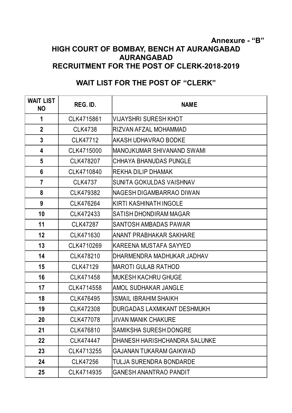#### **Annexure - "B" HIGH COURT OF BOMBAY, BENCH AT AURANGABAD AURANGABAD RECRUITMENT FOR THE POST OF CLERK-2018-2019**

| <b>WAIT LIST</b><br><b>NO</b> | REG. ID.        | <b>NAME</b>                   |
|-------------------------------|-----------------|-------------------------------|
| 1                             | CLK4715861      | <b>VIJAYSHRI SURESH KHOT</b>  |
| $\overline{2}$                | <b>CLK4738</b>  | RIZVAN AFZAL MOHAMMAD         |
| $\mathbf{3}$                  | CLK47712        | AKASH UDHAVRAO BODKE          |
| 4                             | CLK4715000      | MANOJKUMAR SHIVANAND SWAMI    |
| 5                             | CLK478207       | CHHAYA BHANUDAS PUNGLE        |
| $6\phantom{1}6$               | CLK4710840      | REKHA DILIP DHAMAK            |
| 7                             | <b>CLK4737</b>  | ISUNITA GOKULDAS VAISHNAV     |
| 8                             | CLK479382       | NAGESH DIGAMBARRAO DIWAN      |
| 9                             | CLK476264       | KIRTI KASHINATH INGOLE        |
| 10                            | CLK472433       | SATISH DHONDIRAM MAGAR        |
| 11                            | <b>CLK47287</b> | SANTOSH AMBADAS PAWAR         |
| 12                            | CLK471630       | ANANT PRABHAKAR SAKHARE       |
| 13                            | CLK4710269      | KAREENA MUSTAFA SAYYED        |
| 14                            | CLK478210       | DHARMENDRA MADHUKAR JADHAV    |
| 15                            | CLK47129        | MAROTI GULAB RATHOD           |
| 16                            | CLK471458       | MUKESH KACHRU GHUGE           |
| 17                            | CLK4714558      | AMOL SUDHAKAR JANGLE          |
| 18                            | CLK476495       | <b>ISMAIL IBRAHIM SHAIKH</b>  |
| 19                            | CLK472308       | DURGADAS LAXMIKANT DESHMUKH   |
| 20                            | CLK477078       | JIVAN MANIK CHAKURE           |
| 21                            | CLK476810       | <b>SAMIKSHA SURESH DONGRE</b> |
| $22 \,$                       | CLK474447       | DHANESH HARISHCHANDRA SALUNKE |
| 23                            | CLK4713255      | GAJANAN TUKARAM GAIKWAD       |
| 24                            | CLK47256        | TULJA SURENDRA BONDARDE       |
| 25                            | CLK4714935      | <b>GANESH ANANTRAO PANDIT</b> |

### **WAIT LIST FOR THE POST OF "CLERK"**